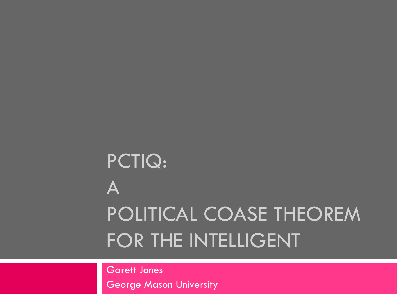## PCTIQ: A POLITICAL COASE THEOREM FOR THE INTELLIGENT

Garett Jones George Mason University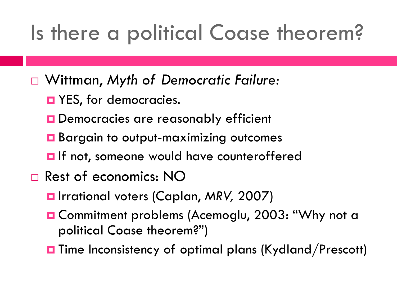## Is there a political Coase theorem?

- Wittman, *Myth of Democratic Failure:*
	- **D** YES, for democracies.
	- **D** Democracies are reasonably efficient
	- **Bargain to output-maximizing outcomes**
	- **O** If not, someone would have counteroffered
- □ Rest of economics: NO
	- Irrational voters (Caplan, *MRV,* 2007)
	- **O Commitment problems (Acemoglu, 2003: "Why not a** political Coase theorem?")
	- **T** Time Inconsistency of optimal plans (Kydland/Prescott)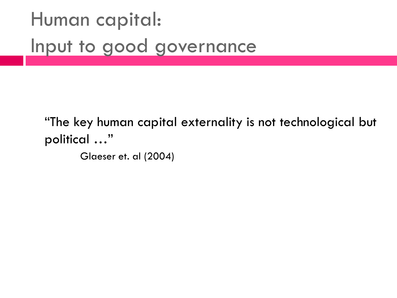#### Human capital: Input to good governance

"The key human capital externality is not technological but political …"

Glaeser et. al (2004)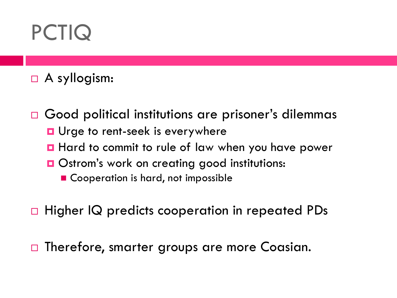## PCTIQ

A syllogism:

□ Good political institutions are prisoner's dilemmas **u** Urge to rent-seek is everywhere **Hard to commit to rule of law when you have power Ostrom's work on creating good institutions:** ■ Cooperation is hard, not impossible

□ Higher IQ predicts cooperation in repeated PDs

□ Therefore, smarter groups are more Coasian.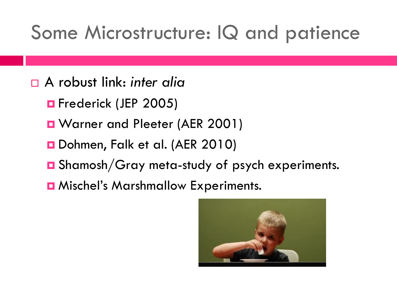#### Some Microstructure: IQ and patience

- A robust link: *inter alia*
	- **O** Frederick (JEP 2005)
	- **D** Warner and Pleeter (AER 2001)
	- Dohmen, Falk et al. (AER 2010)
	- Shamosh/Gray meta-study of psych experiments.
	- **D** Mischel's Marshmallow Experiments.

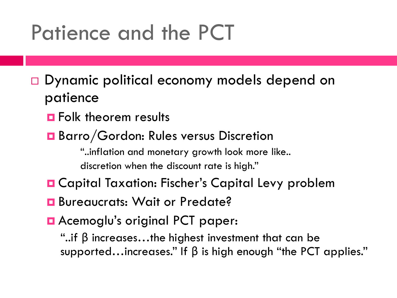#### Patience and the PCT

- □ Dynamic political economy models depend on patience
	- **O** Folk theorem results
	- Barro/Gordon: Rules versus Discretion

"..inflation and monetary growth look more like.. discretion when the discount rate is high."

- **O** Capital Taxation: Fischer's Capital Levy problem
- **B** Bureaucrats: Wait or Predate?
- **E** Acemoglu's original PCT paper:

"..if β increases…the highest investment that can be supported...increases." If  $\beta$  is high enough "the PCT applies."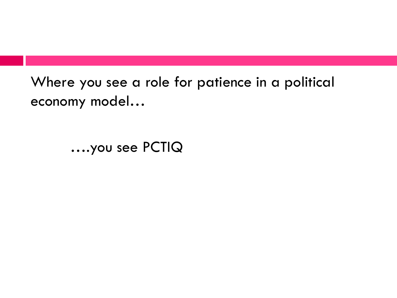Where you see a role for patience in a political economy model…

….you see PCTIQ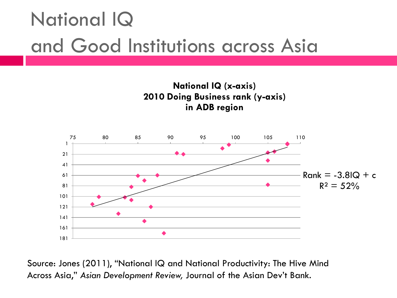#### National IQ and Good Institutions across Asia



Source: Jones (2011), "National IQ and National Productivity: The Hive Mind Across Asia," *Asian Development Review,* Journal of the Asian Dev"t Bank.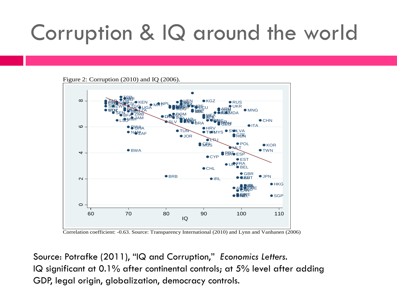## Corruption & IQ around the world





Correlation coefficient: -0.63. Source: Transparency International (2010) and Lynn and Vanhanen (2006)

Source: Potrafke (2011), "IQ and Corruption," *Economics Letters.* IQ significant at 0.1% after continental controls; at 5% level after adding GDP, legal origin, globalization, democracy controls.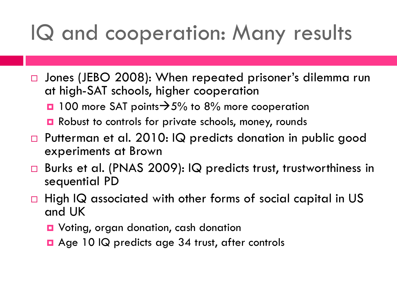## IQ and cooperation: Many results

- □ Jones (JEBO 2008): When repeated prisoner's dilemma run at high-SAT schools, higher cooperation
	- $\Box$  100 more SAT points $\rightarrow$  5% to 8% more cooperation
	- **□** Robust to controls for private schools, money, rounds
- □ Putterman et al. 2010: IQ predicts donation in public good experiments at Brown
- □ Burks et al. (PNAS 2009): IQ predicts trust, trustworthiness in sequential PD
- $\Box$  High IQ associated with other forms of social capital in US and UK
	- Voting, organ donation, cash donation
	- □ Age 10 IQ predicts age 34 trust, after controls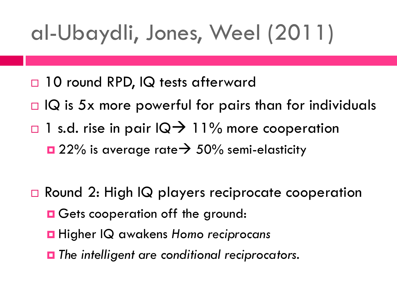# al-Ubaydli, Jones, Weel (2011)

- □ 10 round RPD, IQ tests afterward
- $\Box$  IQ is 5x more powerful for pairs than for individuals
- $\Box$  1 s.d. rise in pair  $\Box \rightarrow$  11% more cooperation
	- $\Box$  22% is average rate  $\rightarrow$  50% semi-elasticity
- □ Round 2: High IQ players reciprocate cooperation
	- **O** Gets cooperation off the ground:
	- Higher IQ awakens *Homo reciprocans*
	- *The intelligent are conditional reciprocators.*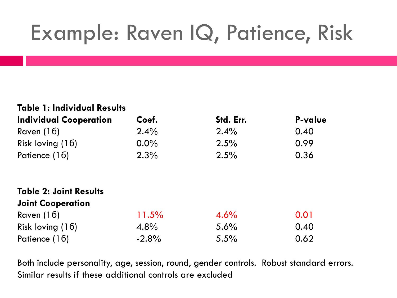## Example: Raven IQ, Patience, Risk

| <b>Table 1: Individual Results</b> |         |           |                |
|------------------------------------|---------|-----------|----------------|
| <b>Individual Cooperation</b>      | Coef.   | Std. Err. | <b>P-value</b> |
| Raven $(16)$                       | 2.4%    | 2.4%      | 0.40           |
| Risk loving $(16)$                 | $0.0\%$ | 2.5%      | 0.99           |
| Patience (16)                      | 2.3%    | 2.5%      | 0.36           |
| <b>Table 2: Joint Results</b>      |         |           |                |
| <b>Joint Cooperation</b>           |         |           |                |
| Raven $(16)$                       | 11.5%   | 4.6%      | 0.01           |
| Risk loving $(16)$                 | 4.8%    | 5.6%      | 0.40           |
| Patience (16)                      | $-2.8%$ | 5.5%      | 0.62           |

Both include personality, age, session, round, gender controls. Robust standard errors. Similar results if these additional controls are excluded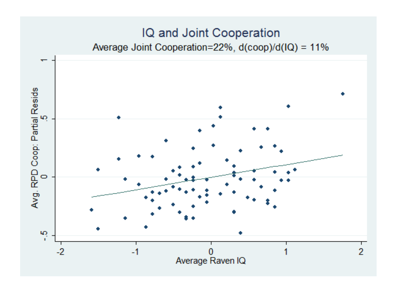#### IQ and Joint Cooperation Average Joint Cooperation=22%, d(coop)/d(IQ) = 11%

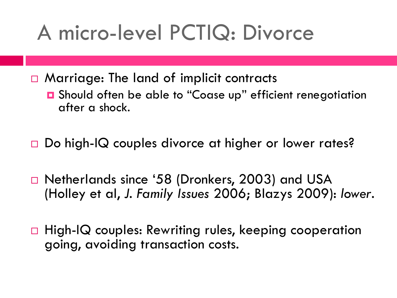#### A micro-level PCTIQ: Divorce

□ Marriage: The land of implicit contracts

- Should often be able to "Coase up" efficient renegotiation after a shock.
- □ Do high-IQ couples divorce at higher or lower rates?
- □ Netherlands since '58 (Dronkers, 2003) and USA (Holley et al, *J. Family Issues* 2006; Blazys 2009): *lower*.
- □ High-IQ couples: Rewriting rules, keeping cooperation going, avoiding transaction costs.